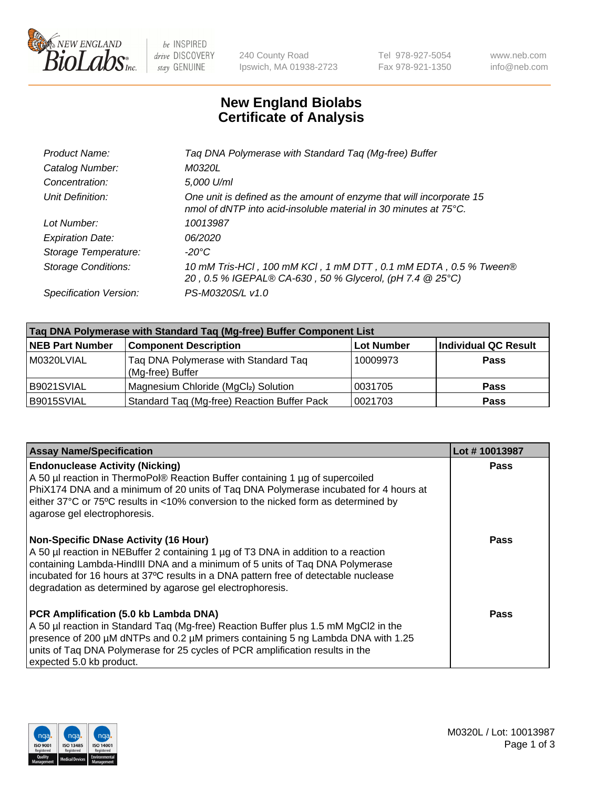

 $be$  INSPIRED drive DISCOVERY stay GENUINE

240 County Road Ipswich, MA 01938-2723 Tel 978-927-5054 Fax 978-921-1350 www.neb.com info@neb.com

## **New England Biolabs Certificate of Analysis**

| Product Name:              | Taq DNA Polymerase with Standard Taq (Mg-free) Buffer                                                                                    |
|----------------------------|------------------------------------------------------------------------------------------------------------------------------------------|
| Catalog Number:            | M0320L                                                                                                                                   |
| Concentration:             | 5,000 U/ml                                                                                                                               |
| Unit Definition:           | One unit is defined as the amount of enzyme that will incorporate 15<br>nmol of dNTP into acid-insoluble material in 30 minutes at 75°C. |
| Lot Number:                | 10013987                                                                                                                                 |
| <b>Expiration Date:</b>    | 06/2020                                                                                                                                  |
| Storage Temperature:       | $-20^{\circ}$ C                                                                                                                          |
| <b>Storage Conditions:</b> | 10 mM Tris-HCl, 100 mM KCl, 1 mM DTT, 0.1 mM EDTA, 0.5 % Tween®<br>20, 0.5 % IGEPAL® CA-630, 50 % Glycerol, (pH 7.4 @ 25°C)              |
| Specification Version:     | PS-M0320S/L v1.0                                                                                                                         |
|                            |                                                                                                                                          |

| Tag DNA Polymerase with Standard Tag (Mg-free) Buffer Component List |                                                          |                   |                             |  |
|----------------------------------------------------------------------|----------------------------------------------------------|-------------------|-----------------------------|--|
| <b>NEB Part Number</b>                                               | <b>Component Description</b>                             | <b>Lot Number</b> | <b>Individual QC Result</b> |  |
| M0320LVIAL                                                           | Tag DNA Polymerase with Standard Tag<br>(Mg-free) Buffer | 10009973          | Pass                        |  |
| B9021SVIAL                                                           | Magnesium Chloride (MgCl2) Solution                      | 10031705          | <b>Pass</b>                 |  |
| B9015SVIAL                                                           | Standard Taq (Mg-free) Reaction Buffer Pack              | 0021703           | <b>Pass</b>                 |  |

| <b>Assay Name/Specification</b>                                                                                                                                                                                                                                                                                                                                        | Lot #10013987 |
|------------------------------------------------------------------------------------------------------------------------------------------------------------------------------------------------------------------------------------------------------------------------------------------------------------------------------------------------------------------------|---------------|
| <b>Endonuclease Activity (Nicking)</b><br>A 50 µl reaction in ThermoPol® Reaction Buffer containing 1 µg of supercoiled<br>PhiX174 DNA and a minimum of 20 units of Tag DNA Polymerase incubated for 4 hours at<br>either 37°C or 75°C results in <10% conversion to the nicked form as determined by<br>agarose gel electrophoresis.                                  | <b>Pass</b>   |
| <b>Non-Specific DNase Activity (16 Hour)</b><br>A 50 µl reaction in NEBuffer 2 containing 1 µg of T3 DNA in addition to a reaction<br>containing Lambda-HindIII DNA and a minimum of 5 units of Taq DNA Polymerase<br>incubated for 16 hours at 37°C results in a DNA pattern free of detectable nuclease<br>degradation as determined by agarose gel electrophoresis. | Pass          |
| PCR Amplification (5.0 kb Lambda DNA)<br>A 50 µl reaction in Standard Taq (Mg-free) Reaction Buffer plus 1.5 mM MgCl2 in the<br>presence of 200 µM dNTPs and 0.2 µM primers containing 5 ng Lambda DNA with 1.25<br>units of Tag DNA Polymerase for 25 cycles of PCR amplification results in the<br>expected 5.0 kb product.                                          | Pass          |

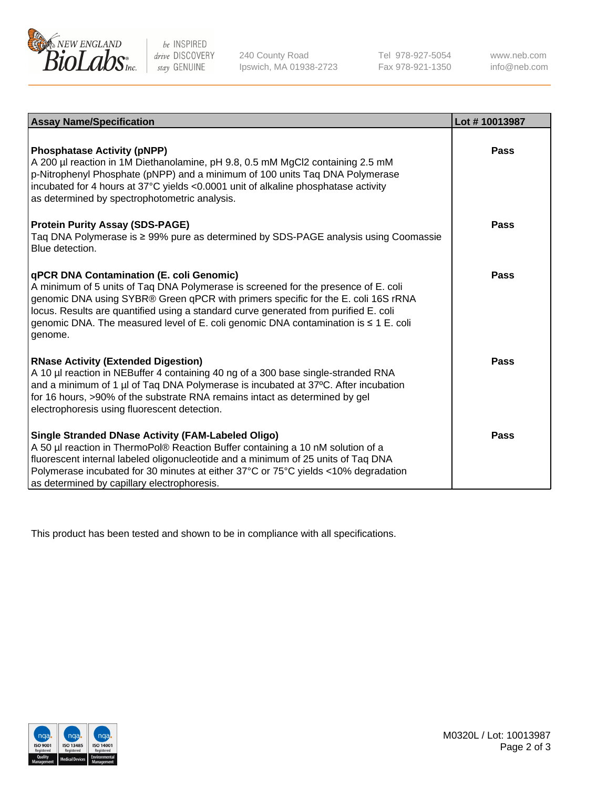

 $be$  INSPIRED drive DISCOVERY stay GENUINE

240 County Road Ipswich, MA 01938-2723 Tel 978-927-5054 Fax 978-921-1350 www.neb.com info@neb.com

| <b>Assay Name/Specification</b>                                                                                                                                                                                                                                                                                                                                                                               | Lot #10013987 |
|---------------------------------------------------------------------------------------------------------------------------------------------------------------------------------------------------------------------------------------------------------------------------------------------------------------------------------------------------------------------------------------------------------------|---------------|
| <b>Phosphatase Activity (pNPP)</b><br>A 200 µl reaction in 1M Diethanolamine, pH 9.8, 0.5 mM MgCl2 containing 2.5 mM<br>p-Nitrophenyl Phosphate (pNPP) and a minimum of 100 units Taq DNA Polymerase<br>incubated for 4 hours at 37°C yields <0.0001 unit of alkaline phosphatase activity<br>as determined by spectrophotometric analysis.                                                                   | Pass          |
| <b>Protein Purity Assay (SDS-PAGE)</b><br>Taq DNA Polymerase is ≥ 99% pure as determined by SDS-PAGE analysis using Coomassie<br>Blue detection.                                                                                                                                                                                                                                                              | Pass          |
| qPCR DNA Contamination (E. coli Genomic)<br>A minimum of 5 units of Taq DNA Polymerase is screened for the presence of E. coli<br>genomic DNA using SYBR® Green qPCR with primers specific for the E. coli 16S rRNA<br>locus. Results are quantified using a standard curve generated from purified E. coli<br>genomic DNA. The measured level of E. coli genomic DNA contamination is ≤ 1 E. coli<br>genome. | Pass          |
| <b>RNase Activity (Extended Digestion)</b><br>A 10 µl reaction in NEBuffer 4 containing 40 ng of a 300 base single-stranded RNA<br>and a minimum of 1 µl of Taq DNA Polymerase is incubated at 37°C. After incubation<br>for 16 hours, >90% of the substrate RNA remains intact as determined by gel<br>electrophoresis using fluorescent detection.                                                          | Pass          |
| <b>Single Stranded DNase Activity (FAM-Labeled Oligo)</b><br>A 50 µl reaction in ThermoPol® Reaction Buffer containing a 10 nM solution of a<br>fluorescent internal labeled oligonucleotide and a minimum of 25 units of Taq DNA<br>Polymerase incubated for 30 minutes at either 37°C or 75°C yields <10% degradation<br>as determined by capillary electrophoresis.                                        | Pass          |

This product has been tested and shown to be in compliance with all specifications.